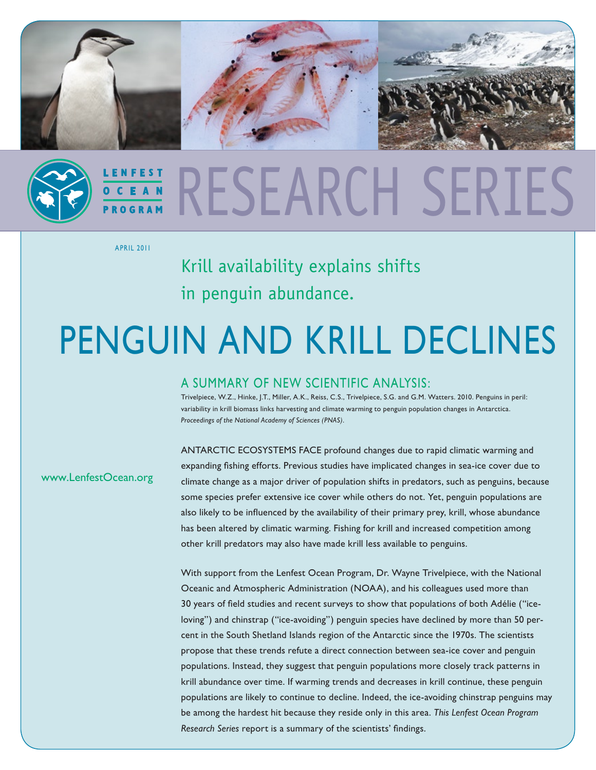

# RESEARCH SF

April 2011

Krill availability explains shifts in penguin abundance.

## Penguin and krill declines

### A Summary of New Scientific Analysis:

Trivelpiece, W.Z., Hinke, J.T., Miller, A.K., Reiss, C.S., Trivelpiece, S.G. and G.M. Watters. 2010. Penguins in peril: variability in krill biomass links harvesting and climate warming to penguin population changes in Antarctica. *Proceedings of the National Academy of Sciences (PNAS).* 

[www.LenfestOcean.org](www.lenfestocean.org)

Antarctic ecosystems face profound changes due to rapid climatic warming and expanding fishing efforts. Previous studies have implicated changes in sea-ice cover due to climate change as a major driver of population shifts in predators, such as penguins, because some species prefer extensive ice cover while others do not. Yet, penguin populations are also likely to be influenced by the availability of their primary prey, krill, whose abundance has been altered by climatic warming. Fishing for krill and increased competition among other krill predators may also have made krill less available to penguins.

With support from the Lenfest Ocean Program, Dr. Wayne Trivelpiece, with the National Oceanic and Atmospheric Administration (NOAA), and his colleagues used more than 30 years of field studies and recent surveys to show that populations of both Adélie ("iceloving") and chinstrap ("ice-avoiding") penguin species have declined by more than 50 percent in the South Shetland Islands region of the Antarctic since the 1970s. The scientists propose that these trends refute a direct connection between sea-ice cover and penguin populations. Instead, they suggest that penguin populations more closely track patterns in krill abundance over time. If warming trends and decreases in krill continue, these penguin populations are likely to continue to decline. Indeed, the ice-avoiding chinstrap penguins may be among the hardest hit because they reside only in this area. *This Lenfest Ocean Program Research Series* report is a summary of the scientists' findings.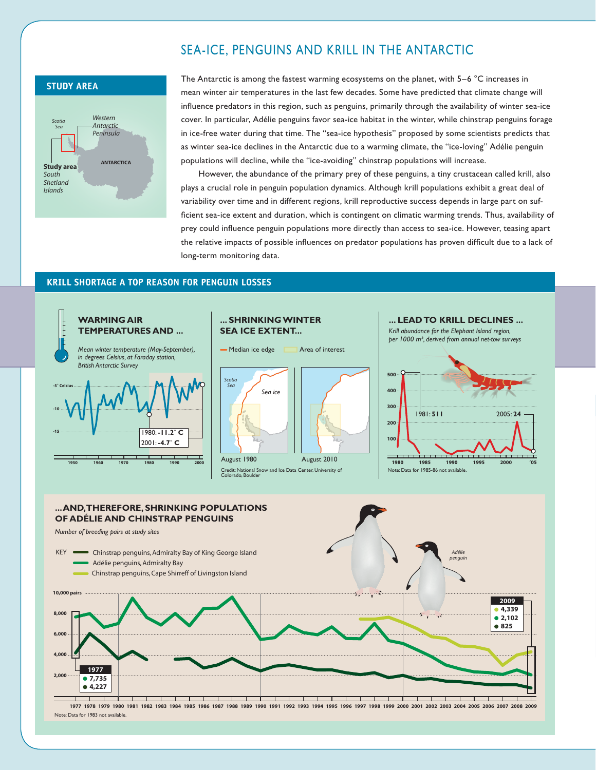#### Sea-ice, penguins and krill in the Antarctic



The Antarctic is among the fastest warming ecosystems on the planet, with 5–6 °C increases in mean winter air temperatures in the last few decades. Some have predicted that climate change will influence predators in this region, such as penguins, primarily through the availability of winter sea-ice cover. In particular, Adélie penguins favor sea-ice habitat in the winter, while chinstrap penguins forage in ice-free water during that time. The "sea-ice hypothesis" proposed by some scientists predicts that as winter sea-ice declines in the Antarctic due to a warming climate, the "ice-loving" Adélie penguin populations will decline, while the "ice-avoiding" chinstrap populations will increase.

However, the abundance of the primary prey of these penguins, a tiny crustacean called krill, also plays a crucial role in penguin population dynamics. Although krill populations exhibit a great deal of variability over time and in different regions, krill reproductive success depends in large part on sufficient sea-ice extent and duration, which is contingent on climatic warming trends. Thus, availability of prey could influence penguin populations more directly than access to sea-ice. However, teasing apart the relative impacts of possible influences on predator populations has proven difficult due to a lack of long-term monitoring data.

#### **Krill Shortage a top reason for penguin losses**



1977 1978 1979 1980 1981 1982 1983 1984 1985 1986 1987 1988 1989 1990 1991 1992 1993 1994 1995 1996 1997 1998 1999 2000 2001 2002 2003 2004 2005 2006 2007 2008 2009 Note: Data for 1983 not available.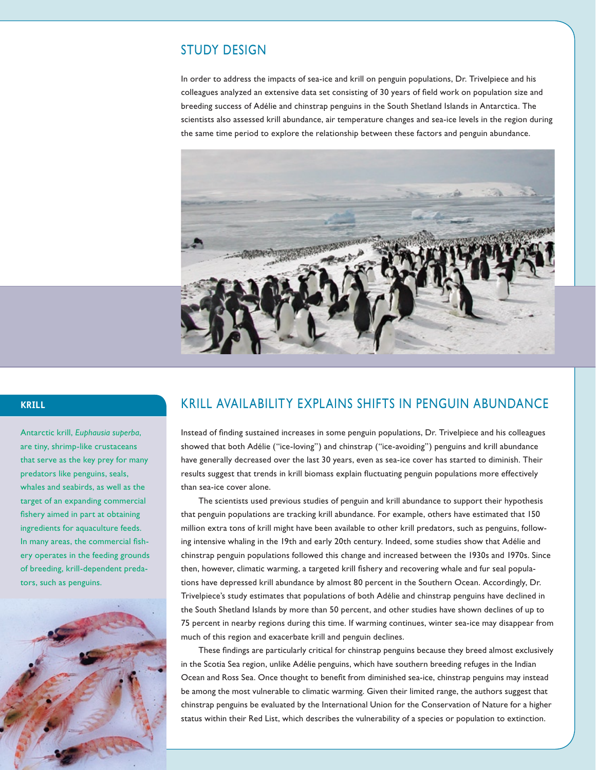#### Study Design

In order to address the impacts of sea-ice and krill on penguin populations, Dr. Trivelpiece and his colleagues analyzed an extensive data set consisting of 30 years of field work on population size and breeding success of Adélie and chinstrap penguins in the South Shetland Islands in Antarctica. The scientists also assessed krill abundance, air temperature changes and sea-ice levels in the region during the same time period to explore the relationship between these factors and penguin abundance.



#### **Krill**

Antarctic krill, *Euphausia superba*, are tiny, shrimp-like crustaceans that serve as the key prey for many predators like penguins, seals, whales and seabirds, as well as the target of an expanding commercial fishery aimed in part at obtaining ingredients for aquaculture feeds. In many areas, the commercial fishery operates in the feeding grounds of breeding, krill-dependent predators, such as penguins.



#### Krill Availability Explains Shifts in Penguin Abundance

Instead of finding sustained increases in some penguin populations, Dr. Trivelpiece and his colleagues showed that both Adélie ("ice-loving") and chinstrap ("ice-avoiding") penguins and krill abundance have generally decreased over the last 30 years, even as sea-ice cover has started to diminish. Their results suggest that trends in krill biomass explain fluctuating penguin populations more effectively than sea-ice cover alone.

The scientists used previous studies of penguin and krill abundance to support their hypothesis that penguin populations are tracking krill abundance. For example, others have estimated that 150 million extra tons of krill might have been available to other krill predators, such as penguins, following intensive whaling in the 19th and early 20th century. Indeed, some studies show that Adélie and chinstrap penguin populations followed this change and increased between the 1930s and 1970s. Since then, however, climatic warming, a targeted krill fishery and recovering whale and fur seal populations have depressed krill abundance by almost 80 percent in the Southern Ocean. Accordingly, Dr. Trivelpiece's study estimates that populations of both Adélie and chinstrap penguins have declined in the South Shetland Islands by more than 50 percent, and other studies have shown declines of up to 75 percent in nearby regions during this time. If warming continues, winter sea-ice may disappear from much of this region and exacerbate krill and penguin declines.

These findings are particularly critical for chinstrap penguins because they breed almost exclusively in the Scotia Sea region, unlike Adélie penguins, which have southern breeding refuges in the Indian Ocean and Ross Sea. Once thought to benefit from diminished sea-ice, chinstrap penguins may instead be among the most vulnerable to climatic warming. Given their limited range, the authors suggest that chinstrap penguins be evaluated by the International Union for the Conservation of Nature for a higher status within their Red List, which describes the vulnerability of a species or population to extinction.